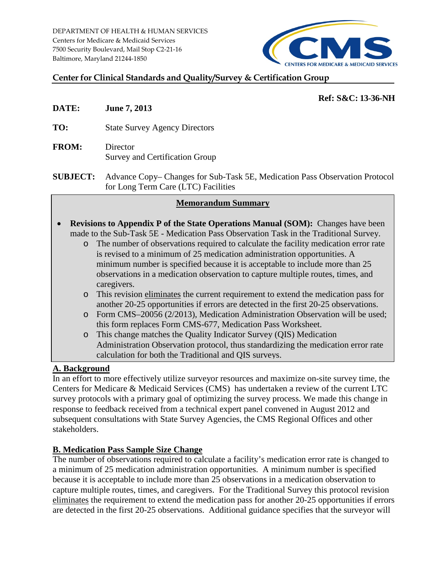DEPARTMENT OF HEALTH & HUMAN SERVICES Centers for Medicare & Medicaid Services 7500 Security Boulevard, Mail Stop C2-21-16 Baltimore, Maryland 21244-1850



# **Center for Clinical Standards and Quality/Survey & Certification Group**

# **Ref: S&C: 13-36-NH**

- **DATE: June 7, 2013**
- **TO:** State Survey Agency Directors
- **FROM:** Director Survey and Certification Group
- **SUBJECT:** Advance Copy– Changes for Sub-Task 5E, Medication Pass Observation Protocol for Long Term Care (LTC) Facilities

## **Memorandum Summary**

- **Revisions to Appendix P of the State Operations Manual (SOM):** Changes have been made to the Sub-Task 5E - Medication Pass Observation Task in the Traditional Survey.
	- o The number of observations required to calculate the facility medication error rate is revised to a minimum of 25 medication administration opportunities. A minimum number is specified because it is acceptable to include more than 25 observations in a medication observation to capture multiple routes, times, and caregivers.
	- o This revision eliminates the current requirement to extend the medication pass for another 20-25 opportunities if errors are detected in the first 20-25 observations.
	- o Form CMS–20056 (2/2013), Medication Administration Observation will be used; this form replaces Form CMS-677, Medication Pass Worksheet.
	- o This change matches the Quality Indicator Survey (QIS) Medication Administration Observation protocol, thus standardizing the medication error rate calculation for both the Traditional and QIS surveys.

## **A. Background**

In an effort to more effectively utilize surveyor resources and maximize on-site survey time, the Centers for Medicare & Medicaid Services (CMS) has undertaken a review of the current LTC survey protocols with a primary goal of optimizing the survey process. We made this change in response to feedback received from a technical expert panel convened in August 2012 and subsequent consultations with State Survey Agencies, the CMS Regional Offices and other stakeholders.

## **B. Medication Pass Sample Size Change**

The number of observations required to calculate a facility's medication error rate is changed to a minimum of 25 medication administration opportunities. A minimum number is specified because it is acceptable to include more than 25 observations in a medication observation to capture multiple routes, times, and caregivers. For the Traditional Survey this protocol revision eliminates the requirement to extend the medication pass for another 20-25 opportunities if errors are detected in the first 20-25 observations. Additional guidance specifies that the surveyor will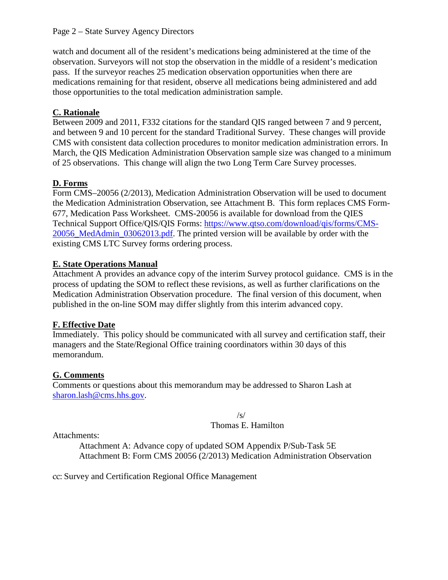### Page 2 – State Survey Agency Directors

watch and document all of the resident's medications being administered at the time of the observation. Surveyors will not stop the observation in the middle of a resident's medication pass. If the surveyor reaches 25 medication observation opportunities when there are medications remaining for that resident, observe all medications being administered and add those opportunities to the total medication administration sample.

# **C. Rationale**

Between 2009 and 2011, F332 citations for the standard QIS ranged between 7 and 9 percent, and between 9 and 10 percent for the standard Traditional Survey. These changes will provide CMS with consistent data collection procedures to monitor medication administration errors. In March, the QIS Medication Administration Observation sample size was changed to a minimum of 25 observations. This change will align the two Long Term Care Survey processes.

# **D. Forms**

Form CMS–20056 (2/2013), Medication Administration Observation will be used to document the Medication Administration Observation, see Attachment B. This form replaces CMS Form-677, Medication Pass Worksheet. CMS-20056 is available for download from the QIES Technical Support Office/QIS/QIS Forms: [https://www.qtso.com/download/qis/forms/CMS-](https://www.qtso.com/download/qis/forms/CMS-20056_MedAdmin_03062013.pdf)[20056\\_MedAdmin\\_03062013.pdf.](https://www.qtso.com/download/qis/forms/CMS-20056_MedAdmin_03062013.pdf) The printed version will be available by order with the existing CMS LTC Survey forms ordering process.

# **E. State Operations Manual**

Attachment A provides an advance copy of the interim Survey protocol guidance. CMS is in the process of updating the SOM to reflect these revisions, as well as further clarifications on the Medication Administration Observation procedure. The final version of this document, when published in the on-line SOM may differ slightly from this interim advanced copy.

## **F. Effective Date**

Immediately. This policy should be communicated with all survey and certification staff, their managers and the State/Regional Office training coordinators within 30 days of this memorandum.

## **G. Comments**

Comments or questions about this memorandum may be addressed to Sharon Lash at [sharon.lash@cms.hhs.gov.](mailto:sharon.lash@cms.hhs.gov)

/s/

### Thomas E. Hamilton

Attachments:

Attachment A: Advance copy of updated SOM Appendix P/Sub-Task 5E Attachment B: Form CMS 20056 (2/2013) Medication Administration Observation

cc: Survey and Certification Regional Office Management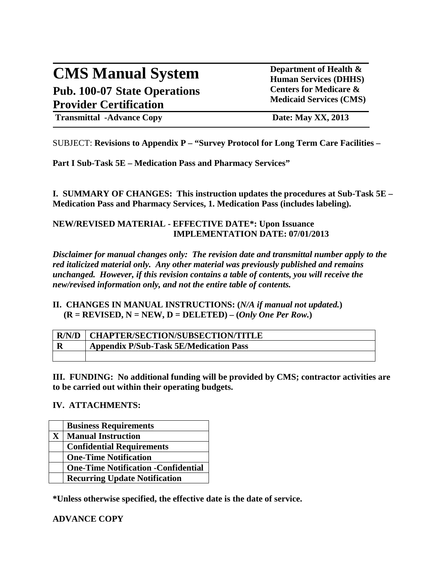# **CMS Manual System Department of Health &** <br> **Department of Health &** <br> **Department of Health & Pub. 100-07 State Operations Provider Certification**

**Human Services (DHHS) Centers for Medicare & Medicaid Services (CMS)**

**Transmittal -Advance Copy Date: May XX, 2013** 

SUBJECT: **Revisions to Appendix P – "Survey Protocol for Long Term Care Facilities –**

**Part I Sub-Task 5E – Medication Pass and Pharmacy Services"**

**I. SUMMARY OF CHANGES: This instruction updates the procedures at Sub-Task 5E – Medication Pass and Pharmacy Services, 1. Medication Pass (includes labeling).**

### **NEW/REVISED MATERIAL - EFFECTIVE DATE\*: Upon Issuance IMPLEMENTATION DATE: 07/01/2013**

*Disclaimer for manual changes only: The revision date and transmittal number apply to the red italicized material only. Any other material was previously published and remains unchanged. However, if this revision contains a table of contents, you will receive the new/revised information only, and not the entire table of contents.*

### **II. CHANGES IN MANUAL INSTRUCTIONS: (***N/A if manual not updated.***)**  $(R = REVISED, N = NEW, D = DELETED) - (Only One Per Row.)$

|   | <b>R/N/D   CHAPTER/SECTION/SUBSECTION/TITLE</b> |
|---|-------------------------------------------------|
| D | <b>Appendix P/Sub-Task 5E/Medication Pass</b>   |
|   |                                                 |

**III. FUNDING: No additional funding will be provided by CMS; contractor activities are to be carried out within their operating budgets.** 

## **IV. ATTACHMENTS:**

|    | <b>Business Requirements</b>                |
|----|---------------------------------------------|
| X. | <b>Manual Instruction</b>                   |
|    | <b>Confidential Requirements</b>            |
|    | <b>One-Time Notification</b>                |
|    | <b>One-Time Notification - Confidential</b> |
|    | <b>Recurring Update Notification</b>        |

**\*Unless otherwise specified, the effective date is the date of service.**

## **ADVANCE COPY**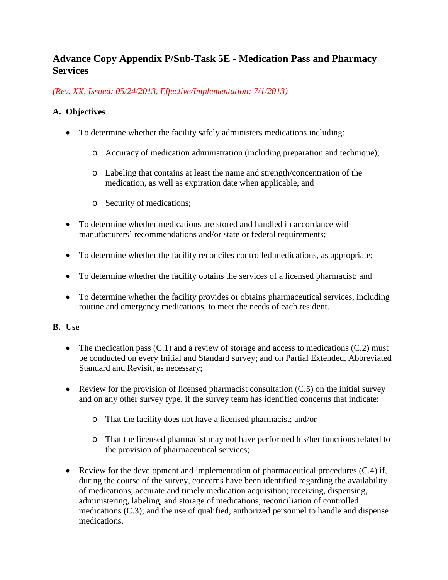# **Advance Copy Appendix P/Sub-Task 5E - Medication Pass and Pharmacy Services**

*(Rev. XX, Issued: 05/24/2013, Effective/Implementation: 7/1/2013)*

# **A. Objectives**

- To determine whether the facility safely administers medications including:
	- o Accuracy of medication administration (including preparation and technique);
	- o Labeling that contains at least the name and strength/concentration of the medication, as well as expiration date when applicable, and
	- o Security of medications;
- To determine whether medications are stored and handled in accordance with manufacturers' recommendations and/or state or federal requirements;
- To determine whether the facility reconciles controlled medications, as appropriate;
- To determine whether the facility obtains the services of a licensed pharmacist; and
- To determine whether the facility provides or obtains pharmaceutical services, including routine and emergency medications, to meet the needs of each resident.

## **B. Use**

- The medication pass  $(C.1)$  and a review of storage and access to medications  $(C.2)$  must be conducted on every Initial and Standard survey; and on Partial Extended, Abbreviated Standard and Revisit, as necessary;
- Review for the provision of licensed pharmacist consultation  $(C.5)$  on the initial survey and on any other survey type, if the survey team has identified concerns that indicate:
	- o That the facility does not have a licensed pharmacist; and/or
	- o That the licensed pharmacist may not have performed his/her functions related to the provision of pharmaceutical services;
- Review for the development and implementation of pharmaceutical procedures (C.4) if, during the course of the survey, concerns have been identified regarding the availability of medications; accurate and timely medication acquisition; receiving, dispensing, administering, labeling, and storage of medications; reconciliation of controlled medications (C.3); and the use of qualified, authorized personnel to handle and dispense medications.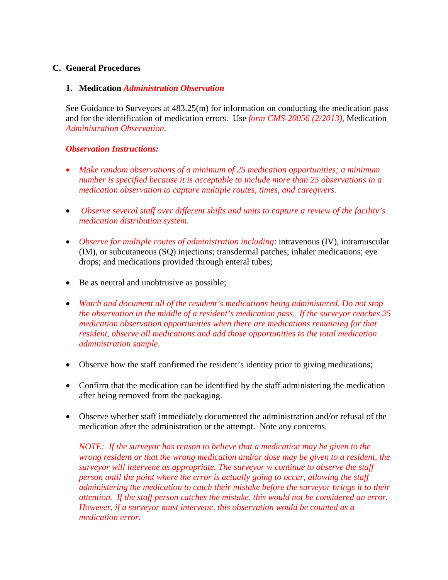### **C. General Procedures**

### **1. Medication** *Administration Observation*

See Guidance to Surveyors at 483.25(m) for information on conducting the medication pass and for the identification of medication errors. Use *form CMS-20056 (2/2013),* Medication *Administration Observation.*

### *Observation Instructions:*

- *Make random observations of a minimum of 25 medication opportunities; a minimum number is specified because it is acceptable to include more than 25 observations in a medication observation to capture multiple routes, times, and caregivers.*
- *Observe several staff over different shifts and units to capture a review of the facility's medication distribution system.*
- *Observe for multiple routes of administration including*: intravenous (IV), intramuscular (IM), or subcutaneous (SQ) injections; transdermal patches; inhaler medications; eye drops; and medications provided through enteral tubes;
- Be as neutral and unobtrusive as possible;
- *Watch and document all of the resident's medications being administered. Do not stop the observation in the middle of a resident's medication pass. If the surveyor reaches 25 medication observation opportunities when there are medications remaining for that resident, observe all medications and add those opportunities to the total medication administration sample.*
- Observe how the staff confirmed the resident's identity prior to giving medications;
- Confirm that the medication can be identified by the staff administering the medication after being removed from the packaging.
- Observe whether staff immediately documented the administration and/or refusal of the medication after the administration or the attempt. Note any concerns.

*NOTE: If the surveyor has reason to believe that a medication may be given to the wrong resident or that the wrong medication and/or dose may be given to a resident, the surveyor will intervene as appropriate. The surveyor w continue to observe the staff person until the point where the error is actually going to occur, allowing the staff administering the medication to catch their mistake before the surveyor brings it to their attention. If the staff person catches the mistake, this would not be considered an error. However, if a surveyor must intervene, this observation would be counted as a medication error.*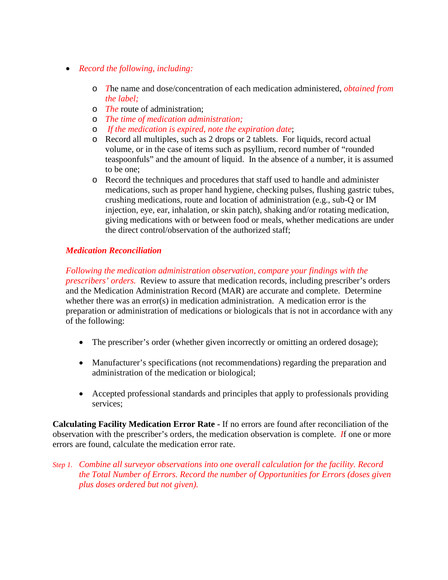- *Record the following, including:*
	- o *T*he name and dose/concentration of each medication administered, *obtained from the label;*
	- o *The* route of administration;
	- o *The time of medication administration;*
	- o *If the medication is expired, note the expiration date*;
	- o Record all multiples, such as 2 drops or 2 tablets. For liquids, record actual volume, or in the case of items such as psyllium, record number of "rounded teaspoonfuls" and the amount of liquid. In the absence of a number, it is assumed to be one;
	- o Record the techniques and procedures that staff used to handle and administer medications, such as proper hand hygiene, checking pulses, flushing gastric tubes, crushing medications, route and location of administration (e.g., sub-Q or IM injection, eye, ear, inhalation, or skin patch), shaking and/or rotating medication, giving medications with or between food or meals, whether medications are under the direct control/observation of the authorized staff;

## *Medication Reconciliation*

*Following the medication administration observation, compare your findings with the prescribers' orders.* Review to assure that medication records, including prescriber's orders and the Medication Administration Record (MAR) are accurate and complete. Determine whether there was an error(s) in medication administration. A medication error is the preparation or administration of medications or biologicals that is not in accordance with any of the following:

- The prescriber's order (whether given incorrectly or omitting an ordered dosage);
- Manufacturer's specifications (not recommendations) regarding the preparation and administration of the medication or biological;
- Accepted professional standards and principles that apply to professionals providing services;

**Calculating Facility Medication Error Rate -** If no errors are found after reconciliation of the observation with the prescriber's orders, the medication observation is complete. *I*f one or more errors are found, calculate the medication error rate.

*Step 1. Combine all surveyor observations into one overall calculation for the facility. Record the Total Number of Errors. Record the number of Opportunities for Errors (doses given plus doses ordered but not given).*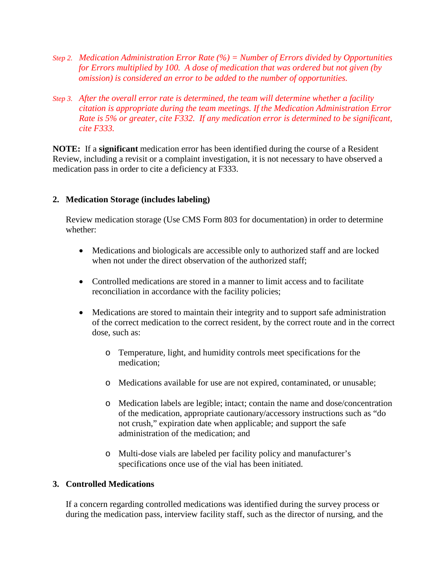- *Step 2. Medication Administration Error Rate (%) = Number of Errors divided by Opportunities for Errors multiplied by 100. A dose of medication that was ordered but not given (by omission) is considered an error to be added to the number of opportunities.*
- *Step 3. After the overall error rate is determined, the team will determine whether a facility citation is appropriate during the team meetings. If the Medication Administration Error Rate is 5% or greater, cite F332. If any medication error is determined to be significant, cite F333.*

**NOTE:** If a **significant** medication error has been identified during the course of a Resident Review, including a revisit or a complaint investigation, it is not necessary to have observed a medication pass in order to cite a deficiency at F333.

### **2. Medication Storage (includes labeling)**

Review medication storage (Use CMS Form 803 for documentation) in order to determine whether:

- Medications and biologicals are accessible only to authorized staff and are locked when not under the direct observation of the authorized staff;
- Controlled medications are stored in a manner to limit access and to facilitate reconciliation in accordance with the facility policies;
- Medications are stored to maintain their integrity and to support safe administration of the correct medication to the correct resident, by the correct route and in the correct dose, such as:
	- o Temperature, light, and humidity controls meet specifications for the medication;
	- o Medications available for use are not expired, contaminated, or unusable;
	- o Medication labels are legible; intact; contain the name and dose/concentration of the medication, appropriate cautionary/accessory instructions such as "do not crush," expiration date when applicable; and support the safe administration of the medication; and
	- o Multi-dose vials are labeled per facility policy and manufacturer's specifications once use of the vial has been initiated.

### **3. Controlled Medications**

If a concern regarding controlled medications was identified during the survey process or during the medication pass, interview facility staff, such as the director of nursing, and the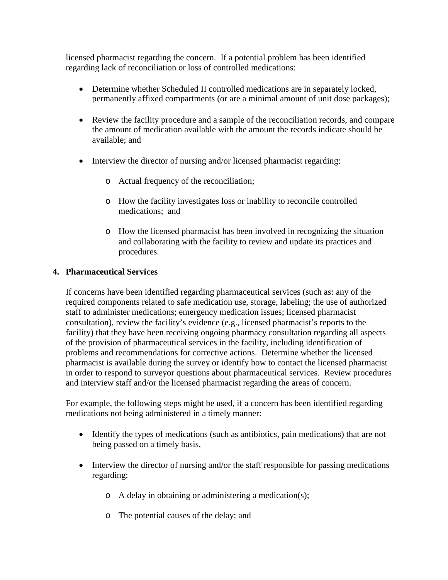licensed pharmacist regarding the concern. If a potential problem has been identified regarding lack of reconciliation or loss of controlled medications:

- Determine whether Scheduled II controlled medications are in separately locked, permanently affixed compartments (or are a minimal amount of unit dose packages);
- Review the facility procedure and a sample of the reconciliation records, and compare the amount of medication available with the amount the records indicate should be available; and
- Interview the director of nursing and/or licensed pharmacist regarding:
	- o Actual frequency of the reconciliation;
	- o How the facility investigates loss or inability to reconcile controlled medications; and
	- o How the licensed pharmacist has been involved in recognizing the situation and collaborating with the facility to review and update its practices and procedures.

# **4. Pharmaceutical Services**

If concerns have been identified regarding pharmaceutical services (such as: any of the required components related to safe medication use, storage, labeling; the use of authorized staff to administer medications; emergency medication issues; licensed pharmacist consultation), review the facility's evidence (e.g., licensed pharmacist's reports to the facility) that they have been receiving ongoing pharmacy consultation regarding all aspects of the provision of pharmaceutical services in the facility, including identification of problems and recommendations for corrective actions. Determine whether the licensed pharmacist is available during the survey or identify how to contact the licensed pharmacist in order to respond to surveyor questions about pharmaceutical services. Review procedures and interview staff and/or the licensed pharmacist regarding the areas of concern.

For example, the following steps might be used, if a concern has been identified regarding medications not being administered in a timely manner:

- Identify the types of medications (such as antibiotics, pain medications) that are not being passed on a timely basis,
- Interview the director of nursing and/or the staff responsible for passing medications regarding:
	- o A delay in obtaining or administering a medication(s);
	- o The potential causes of the delay; and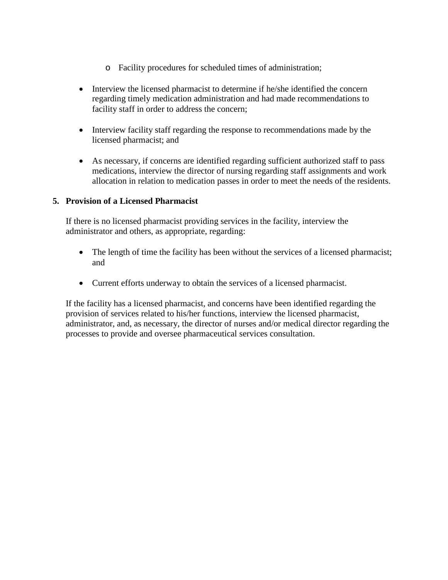- o Facility procedures for scheduled times of administration;
- Interview the licensed pharmacist to determine if he/she identified the concern regarding timely medication administration and had made recommendations to facility staff in order to address the concern;
- Interview facility staff regarding the response to recommendations made by the licensed pharmacist; and
- As necessary, if concerns are identified regarding sufficient authorized staff to pass medications, interview the director of nursing regarding staff assignments and work allocation in relation to medication passes in order to meet the needs of the residents.

# **5. Provision of a Licensed Pharmacist**

If there is no licensed pharmacist providing services in the facility, interview the administrator and others, as appropriate, regarding:

- The length of time the facility has been without the services of a licensed pharmacist; and
- Current efforts underway to obtain the services of a licensed pharmacist.

If the facility has a licensed pharmacist, and concerns have been identified regarding the provision of services related to his/her functions, interview the licensed pharmacist, administrator, and, as necessary, the director of nurses and/or medical director regarding the processes to provide and oversee pharmaceutical services consultation.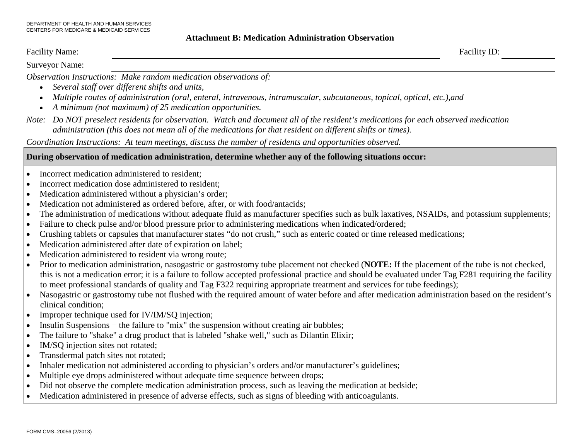#### **Attachment B: Medication Administration Observation**

| Faci<br>$\cdots$<br>маніс. | $-$<br>ιV<br>$- - - - - - -$<br><u> 1980 - Johann Stoff, Amerikaansk politiker (</u> |
|----------------------------|--------------------------------------------------------------------------------------|
| $\sim$                     |                                                                                      |

Surveyor Name:

*Observation Instructions: Make random medication observations of:*

- *Several staff over different shifts and units,*
- *Multiple routes of administration (oral, enteral, intravenous, intramuscular, subcutaneous, topical, optical, etc.),and*
- *A minimum (not maximum) of 25 medication opportunities.*
- *Note: Do NOT preselect residents for observation. Watch and document all of the resident's medications for each observed medication administration (this does not mean all of the medications for that resident on different shifts or times).*

*Coordination Instructions: At team meetings, discuss the number of residents and opportunities observed.*

### **During observation of medication administration, determine whether any of the following situations occur:**

- Incorrect medication administered to resident:
- Incorrect medication dose administered to resident:
- Medication administered without a physician's order;
- Medication not administered as ordered before, after, or with food/antacids;
- The administration of medications without adequate fluid as manufacturer specifies such as bulk laxatives, NSAIDs, and potassium supplements;
- Failure to check pulse and/or blood pressure prior to administering medications when indicated/ordered;
- Crushing tablets or capsules that manufacturer states "do not crush," such as enteric coated or time released medications;
- Medication administered after date of expiration on label;
- Medication administered to resident via wrong route;
- Prior to medication administration, nasogastric or gastrostomy tube placement not checked (**NOTE:** If the placement of the tube is not checked, this is not a medication error; it is a failure to follow accepted professional practice and should be evaluated under Tag F281 requiring the facility to meet professional standards of quality and Tag F322 requiring appropriate treatment and services for tube feedings);
- Nasogastric or gastrostomy tube not flushed with the required amount of water before and after medication administration based on the resident's clinical condition;
- Improper technique used for IV/IM/SO injection;
- Insulin Suspensions the failure to "mix" the suspension without creating air bubbles;
- The failure to "shake" a drug product that is labeled "shake well," such as Dilantin Elixir;
- IM/SQ injection sites not rotated;
- Transdermal patch sites not rotated;
- Inhaler medication not administered according to physician's orders and/or manufacturer's guidelines;
- Multiple eye drops administered without adequate time sequence between drops;
- Did not observe the complete medication administration process, such as leaving the medication at bedside;
- Medication administered in presence of adverse effects, such as signs of bleeding with anticoagulants.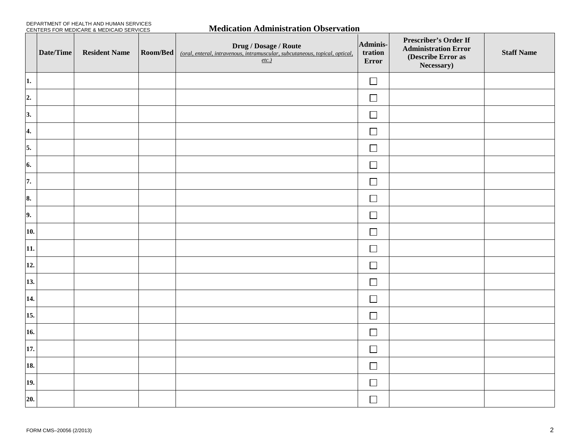| DEPARTMENT OF HEALTH AND HUMAN SERVICES  |  |
|------------------------------------------|--|
| CENTERS FOR MEDICARE & MEDICAID SERVICES |  |

### **Medication Administration Observation**

|     | Date/Time | <b>Resident Name</b> | Room/Bed | <b>Drug / Dosage / Route</b><br>(oral, enteral, intravenous, intramuscular, subcutaneous, topical, optical,<br>etc. | Adminis-<br>tration<br>Error | Prescriber's Order If<br><b>Administration Error</b><br>(Describe Error as<br>Necessary) | <b>Staff Name</b> |
|-----|-----------|----------------------|----------|---------------------------------------------------------------------------------------------------------------------|------------------------------|------------------------------------------------------------------------------------------|-------------------|
| 1.  |           |                      |          |                                                                                                                     | $\Box$                       |                                                                                          |                   |
| 2.  |           |                      |          |                                                                                                                     | $\Box$                       |                                                                                          |                   |
| 3.  |           |                      |          |                                                                                                                     | $\Box$                       |                                                                                          |                   |
| 4.  |           |                      |          |                                                                                                                     | $\Box$                       |                                                                                          |                   |
| 5.  |           |                      |          |                                                                                                                     | $\Box$                       |                                                                                          |                   |
| 6.  |           |                      |          |                                                                                                                     | $\Box$                       |                                                                                          |                   |
| 7.  |           |                      |          |                                                                                                                     | $\Box$                       |                                                                                          |                   |
| 8.  |           |                      |          |                                                                                                                     | $\Box$                       |                                                                                          |                   |
| 9.  |           |                      |          |                                                                                                                     | $\Box$                       |                                                                                          |                   |
| 10. |           |                      |          |                                                                                                                     | $\Box$                       |                                                                                          |                   |
| 11. |           |                      |          |                                                                                                                     | $\Box$                       |                                                                                          |                   |
| 12. |           |                      |          |                                                                                                                     | $\Box$                       |                                                                                          |                   |
| 13. |           |                      |          |                                                                                                                     | $\Box$                       |                                                                                          |                   |
| 14. |           |                      |          |                                                                                                                     | $\Box$                       |                                                                                          |                   |
| 15. |           |                      |          |                                                                                                                     | $\Box$                       |                                                                                          |                   |
| 16. |           |                      |          |                                                                                                                     | $\Box$                       |                                                                                          |                   |
| 17. |           |                      |          |                                                                                                                     | $\Box$                       |                                                                                          |                   |
| 18. |           |                      |          |                                                                                                                     | $\Box$                       |                                                                                          |                   |
| 19. |           |                      |          |                                                                                                                     | $\Box$                       |                                                                                          |                   |
| 20. |           |                      |          |                                                                                                                     | $\Box$                       |                                                                                          |                   |